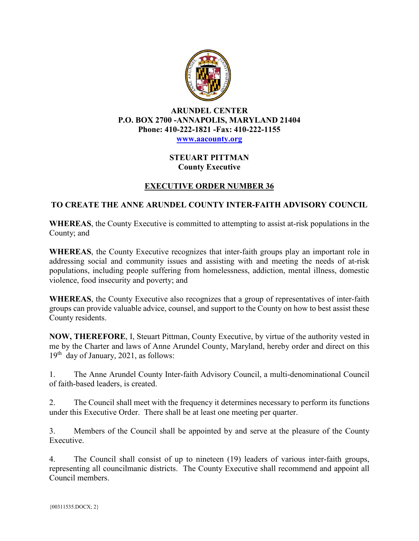

## **ARUNDEL CENTER P.O. BOX 2700 -ANNAPOLIS, MARYLAND 21404 Phone: 410-222-1821 -Fax: 410-222-1155 [www.aacounty.org](http://www.aacounty.org/)**

## **STEUART PITTMAN County Executive**

## **EXECUTIVE ORDER NUMBER 36**

## **TO CREATE THE ANNE ARUNDEL COUNTY INTER-FAITH ADVISORY COUNCIL**

**WHEREAS**, the County Executive is committed to attempting to assist at-risk populations in the County; and

**WHEREAS**, the County Executive recognizes that inter-faith groups play an important role in addressing social and community issues and assisting with and meeting the needs of at-risk populations, including people suffering from homelessness, addiction, mental illness, domestic violence, food insecurity and poverty; and

**WHEREAS**, the County Executive also recognizes that a group of representatives of inter-faith groups can provide valuable advice, counsel, and support to the County on how to best assist these County residents.

**NOW, THEREFORE**, I, Steuart Pittman, County Executive, by virtue of the authority vested in me by the Charter and laws of Anne Arundel County, Maryland, hereby order and direct on this  $19<sup>th</sup>$  day of January, 2021, as follows:

1. The Anne Arundel County Inter-faith Advisory Council, a multi-denominational Council of faith-based leaders, is created.

2. The Council shall meet with the frequency it determines necessary to perform its functions under this Executive Order. There shall be at least one meeting per quarter.

3. Members of the Council shall be appointed by and serve at the pleasure of the County Executive.

4. The Council shall consist of up to nineteen (19) leaders of various inter-faith groups, representing all councilmanic districts. The County Executive shall recommend and appoint all Council members.